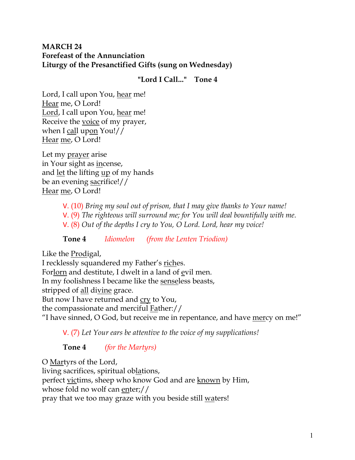## **MARCH 24 Forefeast of the Annunciation Liturgy of the Presanctified Gifts (sung on Wednesday)**

## **"Lord I Call..." Tone 4**

Lord, I call upon You, hear me! Hear me, O Lord! Lord, I call upon You, hear me! Receive the voice of my prayer, when I call upon You!// Hear me, O Lord!

Let my prayer arise in Your sight as incense, and let the lifting up of my hands be an evening sacrifice!// Hear me, O Lord!

- V. (10) *Bring my soul out of prison, that I may give thanks to Your name!*  V. (9) *The righteous will surround me; for You will deal bountifully with me.*
- V. (8) *Out of the depths I cry to You, O Lord. Lord, hear my voice!*

**Tone 4** *Idiomelon (from the Lenten Triodion)* 

Like the Prodigal,

I recklessly squandered my Father's riches. Forlorn and destitute, I dwelt in a land of evil men. In my foolishness I became like the senseless beasts, stripped of all divine grace. But now I have returned and cry to You, the compassionate and merciful Father:// "I have sinned, O God, but receive me in repentance, and have mercy on me!"

V. (7) *Let Your ears be attentive to the voice of my supplications!*

**Tone 4** *(for the Martyrs)*

O Martyrs of the Lord, living sacrifices, spiritual oblations, perfect victims, sheep who know God and are known by Him, whose fold no wolf can enter;// pray that we too may graze with you beside still waters!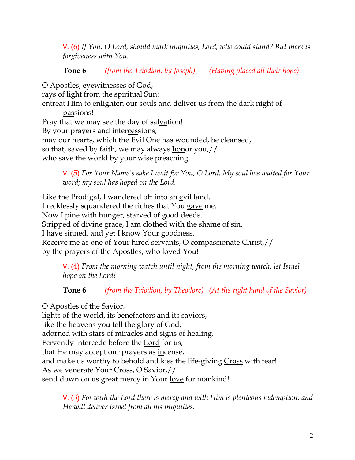V. (6) *If You, O Lord, should mark iniquities, Lord, who could stand? But there is forgiveness with You.* 

# **Tone 6** *(from the Triodion, by Joseph) (Having placed all their hope)*

O Apostles, eyewitnesses of God, rays of light from the spiritual Sun: entreat Him to enlighten our souls and deliver us from the dark night of passions! Pray that we may see the day of salvation! By your prayers and intercessions, may our hearts, which the Evil One has wounded, be cleansed, so that, saved by faith, we may always <u>hon</u>or you,// who save the world by your wise <u>preaching</u>.

V. (5) *For Your Name's sake I wait for You, O Lord. My soul has waited for Your word; my soul has hoped on the Lord.* 

Like the Prodigal, I wandered off into an evil land. I recklessly squandered the riches that You gave me. Now I pine with hunger, starved of good deeds. Stripped of divine grace, I am clothed with the shame of sin. I have sinned, and yet I know Your goodness. Receive me as one of Your hired servants, O compassionate Christ,// by the prayers of the Apostles, who <u>loved</u> You!

V. (4) *From the morning watch until night, from the morning watch, let Israel hope on the Lord!* 

**Tone 6** *(from the Triodion, by Theodore) (At the right hand of the Savior)*

O Apostles of the Savior, lights of the world, its benefactors and its saviors, like the heavens you tell the glory of God, adorned with stars of miracles and signs of healing. Fervently intercede before the Lord for us, that He may accept our prayers as incense, and make us worthy to behold and kiss the life-giving Cross with fear! As we venerate Your Cross, O Savior,// send down on us great mercy in Your <u>love</u> for mankind!

V. (3) *For with the Lord there is mercy and with Him is plenteous redemption, and He will deliver Israel from all his iniquities.*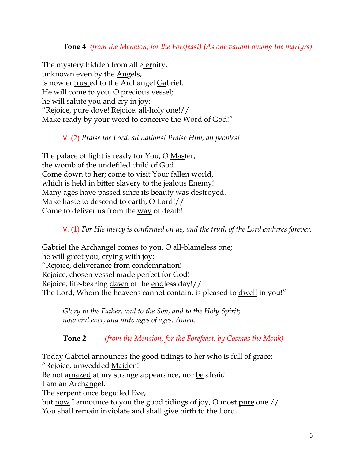## **Tone 4** *(from the Menaion, for the Forefeast) (As one valiant among the martyrs)*

The mystery hidden from all eternity, unknown even by the Angels, is now entrusted to the Archangel Gabriel. He will come to you, O precious vessel; he will salute you and cry in joy: "Rejoice, pure dove! Rejoice, all-holy one!// Make ready by your word to conceive the Word of God!"

### V. (2) *Praise the Lord, all nations! Praise Him, all peoples!*

The palace of light is ready for You, O Master, the womb of the undefiled child of God. Come down to her; come to visit Your fallen world, which is held in bitter slavery to the jealous Enemy! Many ages have passed since its beauty was destroyed. Make haste to descend to earth, O Lord!// Come to deliver us from the way of death!

V. (1) *For His mercy is confirmed on us, and the truth of the Lord endures forever.* 

Gabriel the Archangel comes to you, O all-blameless one; he will greet you, crying with joy: "Rejoice, deliverance from condemnation! Rejoice, chosen vessel made perfect for God! Rejoice, life-bearing dawn of the endless day!// The Lord, Whom the heavens cannot contain, is pleased to <u>dwell</u> in you!"

*Glory to the Father, and to the Son, and to the Holy Spirit; now and ever, and unto ages of ages. Amen.* 

**Tone 2** *(from the Menaion, for the Forefeast, by Cosmas the Monk)*

Today Gabriel announces the good tidings to her who is full of grace: "Rejoice, unwedded Maiden!

Be not amazed at my strange appearance, nor be afraid.

I am an Archangel.

The serpent once beguiled Eve,

but now I announce to you the good tidings of joy, O most pure one.// You shall remain inviolate and shall give birth to the Lord.